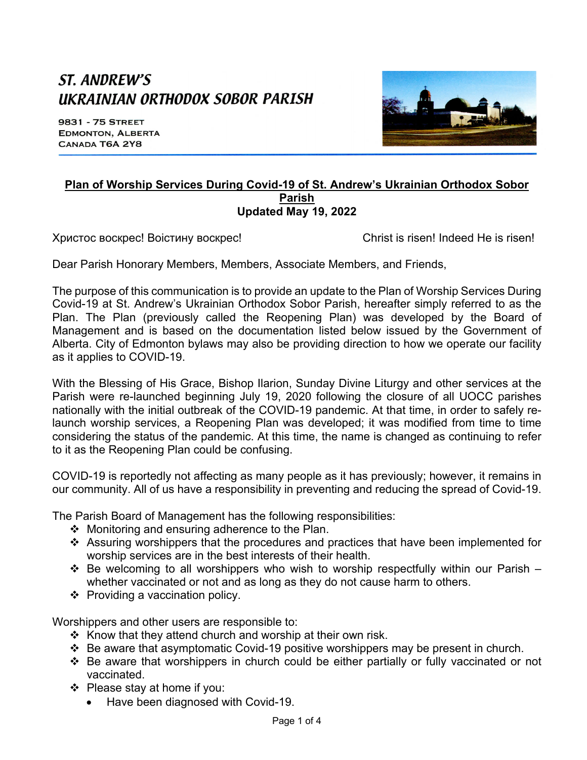# ST. ANDREW'S UKRAINIAN ORTHODOX SOBOR PARISH

9831 - 75 STREET **EDMONTON, ALBERTA** CANADA T6A 2Y8



#### **Plan of Worship Services During Covid-19 of St. Andrew's Ukrainian Orthodox Sobor Parish Updated May 19, 2022**

Христос воскрес! Воістину воскрес! Christ is risen! Indeed He is risen!

Dear Parish Honorary Members, Members, Associate Members, and Friends,

The purpose of this communication is to provide an update to the Plan of Worship Services During Covid-19 at St. Andrew's Ukrainian Orthodox Sobor Parish, hereafter simply referred to as the Plan. The Plan (previously called the Reopening Plan) was developed by the Board of Management and is based on the documentation listed below issued by the Government of Alberta. City of Edmonton bylaws may also be providing direction to how we operate our facility as it applies to COVID-19.

With the Blessing of His Grace, Bishop Ilarion, Sunday Divine Liturgy and other services at the Parish were re-launched beginning July 19, 2020 following the closure of all UOCC parishes nationally with the initial outbreak of the COVID-19 pandemic. At that time, in order to safely relaunch worship services, a Reopening Plan was developed; it was modified from time to time considering the status of the pandemic. At this time, the name is changed as continuing to refer to it as the Reopening Plan could be confusing.

COVID-19 is reportedly not affecting as many people as it has previously; however, it remains in our community. All of us have a responsibility in preventing and reducing the spread of Covid-19.

The Parish Board of Management has the following responsibilities:

- $\div$  Monitoring and ensuring adherence to the Plan.
- $\div$  Assuring worshippers that the procedures and practices that have been implemented for worship services are in the best interests of their health.
- Be welcoming to all worshippers who wish to worship respectfully within our Parish whether vaccinated or not and as long as they do not cause harm to others.
- $\div$  Providing a vaccination policy.

Worshippers and other users are responsible to:

- $\div$  Know that they attend church and worship at their own risk.
- $\div$  Be aware that asymptomatic Covid-19 positive worshippers may be present in church.
- \* Be aware that worshippers in church could be either partially or fully vaccinated or not vaccinated.
- $\div$  Please stay at home if you:
	- Have been diagnosed with Covid-19.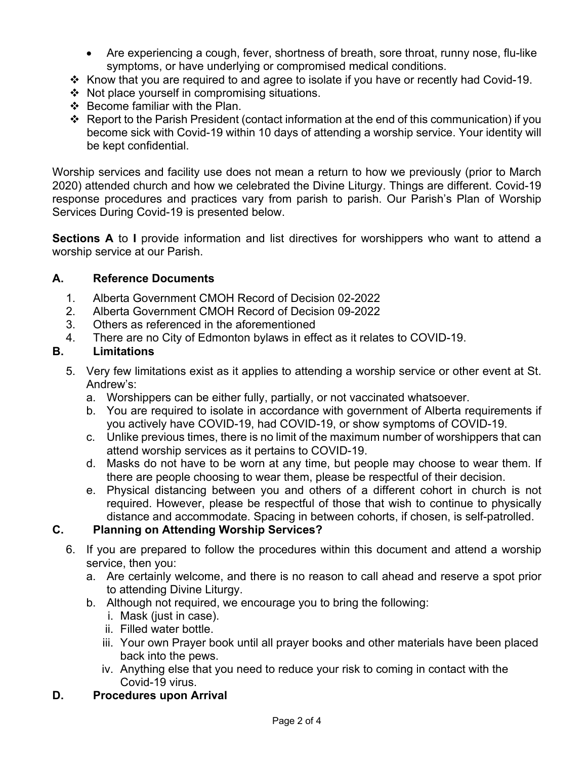- Are experiencing a cough, fever, shortness of breath, sore throat, runny nose, flu-like symptoms, or have underlying or compromised medical conditions.
- v Know that you are required to and agree to isolate if you have or recently had Covid-19.
- $\div$  Not place yourself in compromising situations.
- $\div$  Become familiar with the Plan.
- $\div$  Report to the Parish President (contact information at the end of this communication) if you become sick with Covid-19 within 10 days of attending a worship service. Your identity will be kept confidential.

Worship services and facility use does not mean a return to how we previously (prior to March 2020) attended church and how we celebrated the Divine Liturgy. Things are different. Covid-19 response procedures and practices vary from parish to parish. Our Parish's Plan of Worship Services During Covid-19 is presented below.

**Sections A** to **I** provide information and list directives for worshippers who want to attend a worship service at our Parish.

#### **A. Reference Documents**

- 1. Alberta Government CMOH Record of Decision 02-2022
- 2. Alberta Government CMOH Record of Decision 09-2022
- 3. Others as referenced in the aforementioned
- 4. There are no City of Edmonton bylaws in effect as it relates to COVID-19.

## **B. Limitations**

- 5. Very few limitations exist as it applies to attending a worship service or other event at St. Andrew's:
	- a. Worshippers can be either fully, partially, or not vaccinated whatsoever.
	- b. You are required to isolate in accordance with government of Alberta requirements if you actively have COVID-19, had COVID-19, or show symptoms of COVID-19.
	- c. Unlike previous times, there is no limit of the maximum number of worshippers that can attend worship services as it pertains to COVID-19.
	- d. Masks do not have to be worn at any time, but people may choose to wear them. If there are people choosing to wear them, please be respectful of their decision.
	- e. Physical distancing between you and others of a different cohort in church is not required. However, please be respectful of those that wish to continue to physically distance and accommodate. Spacing in between cohorts, if chosen, is self-patrolled.

#### **C. Planning on Attending Worship Services?**

- 6. If you are prepared to follow the procedures within this document and attend a worship service, then you:
	- a. Are certainly welcome, and there is no reason to call ahead and reserve a spot prior to attending Divine Liturgy.
	- b. Although not required, we encourage you to bring the following:
		- i. Mask (just in case).
		- ii. Filled water bottle.
		- iii. Your own Prayer book until all prayer books and other materials have been placed back into the pews.
		- iv. Anything else that you need to reduce your risk to coming in contact with the Covid-19 virus.

#### **D. Procedures upon Arrival**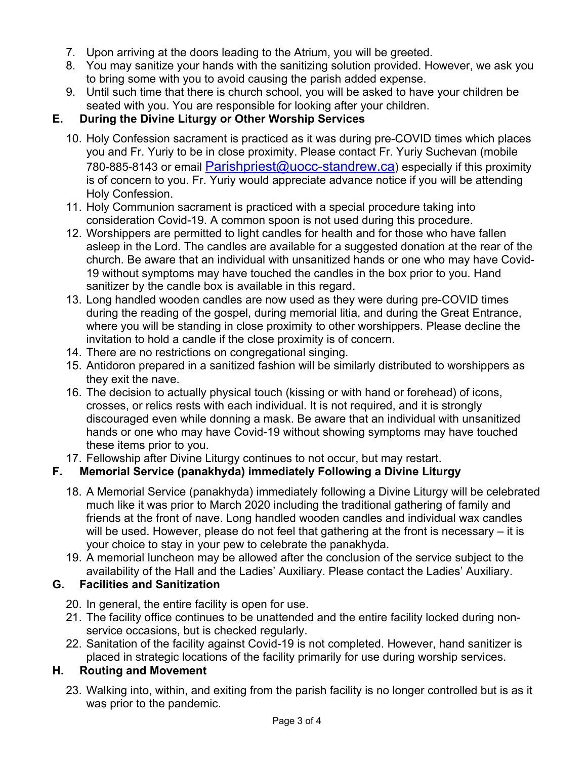- 7. Upon arriving at the doors leading to the Atrium, you will be greeted.
- 8. You may sanitize your hands with the sanitizing solution provided. However, we ask you to bring some with you to avoid causing the parish added expense.
- 9. Until such time that there is church school, you will be asked to have your children be seated with you. You are responsible for looking after your children.

# **E. During the Divine Liturgy or Other Worship Services**

- 10. Holy Confession sacrament is practiced as it was during pre-COVID times which places you and Fr. Yuriy to be in close proximity. Please contact Fr. Yuriy Suchevan (mobile 780-885-8143 or email Parishpriest@uocc-standrew.ca) especially if this proximity is of concern to you. Fr. Yuriy would appreciate advance notice if you will be attending Holy Confession.
- 11. Holy Communion sacrament is practiced with a special procedure taking into consideration Covid-19. A common spoon is not used during this procedure.
- 12. Worshippers are permitted to light candles for health and for those who have fallen asleep in the Lord. The candles are available for a suggested donation at the rear of the church. Be aware that an individual with unsanitized hands or one who may have Covid-19 without symptoms may have touched the candles in the box prior to you. Hand sanitizer by the candle box is available in this regard.
- 13. Long handled wooden candles are now used as they were during pre-COVID times during the reading of the gospel, during memorial litia, and during the Great Entrance, where you will be standing in close proximity to other worshippers. Please decline the invitation to hold a candle if the close proximity is of concern.
- 14. There are no restrictions on congregational singing.
- 15. Antidoron prepared in a sanitized fashion will be similarly distributed to worshippers as they exit the nave.
- 16. The decision to actually physical touch (kissing or with hand or forehead) of icons, crosses, or relics rests with each individual. It is not required, and it is strongly discouraged even while donning a mask. Be aware that an individual with unsanitized hands or one who may have Covid-19 without showing symptoms may have touched these items prior to you.
- 17. Fellowship after Divine Liturgy continues to not occur, but may restart.

# **F. Memorial Service (panakhyda) immediately Following a Divine Liturgy**

- 18. A Memorial Service (panakhyda) immediately following a Divine Liturgy will be celebrated much like it was prior to March 2020 including the traditional gathering of family and friends at the front of nave. Long handled wooden candles and individual wax candles will be used. However, please do not feel that gathering at the front is necessary – it is your choice to stay in your pew to celebrate the panakhyda.
- 19. A memorial luncheon may be allowed after the conclusion of the service subject to the availability of the Hall and the Ladies' Auxiliary. Please contact the Ladies' Auxiliary.

# **G. Facilities and Sanitization**

- 20. In general, the entire facility is open for use.
- 21. The facility office continues to be unattended and the entire facility locked during nonservice occasions, but is checked regularly.
- 22. Sanitation of the facility against Covid-19 is not completed. However, hand sanitizer is placed in strategic locations of the facility primarily for use during worship services.

# **H. Routing and Movement**

23. Walking into, within, and exiting from the parish facility is no longer controlled but is as it was prior to the pandemic.